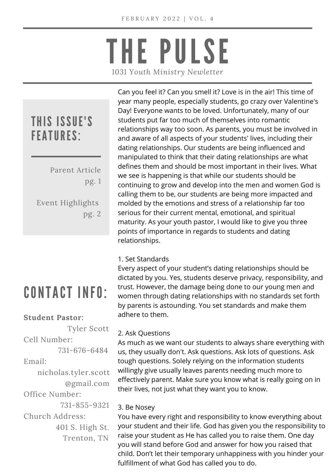## THE PULSE *1031 Youth Ministry Newletter*

### THIS ISSUE'S FEATURES:

Parent Article pg. 1

Event Highlights pg. 2

### CONTACT INFO:

#### **Student Pastor:**

Tyler Scott Cell Number:

731-676-6484

Email:

nicholas.tyler.scott @gmail.com Office Number:

731-855-9321 Church Address: 401 S. High St. Trenton, TN

Can you feel it? Can you smell it? Love is in the air! This time of year many people, especially students, go crazy over Valentine's Day! Everyone wants to be loved. Unfortunately, many of our students put far too much of themselves into romantic relationships way too soon. As parents, you must be involved in and aware of all aspects of your students' lives, including their dating relationships. Our students are being influenced and manipulated to think that their dating relationships are what defines them and should be most important in their lives. What we see is happening is that while our students should be continuing to grow and develop into the men and women God is calling them to be, our students are being more impacted and molded by the emotions and stress of a relationship far too serious for their current mental, emotional, and spiritual maturity. As your youth pastor, I would like to give you three points of importance in regards to students and dating relationships.

#### 1. Set Standards

Every aspect of your student's dating relationships should be dictated by you. Yes, students deserve privacy, responsibility, and trust. However, the damage being done to our young men and women through dating relationships with no standards set forth by parents is astounding. You set standards and make them adhere to them.

#### 2. Ask Questions

As much as we want our students to always share everything with us, they usually don't. Ask questions. Ask lots of questions. Ask tough questions. Solely relying on the information students willingly give usually leaves parents needing much more to effectively parent. Make sure you know what is really going on in their lives, not just what they want you to know.

#### 3. Be Nosey

You have every right and responsibility to know everything about your student and their life. God has given you the responsibility to raise your student as He has called you to raise them. One day you will stand before God and answer for how you raised that child. Don't let their temporary unhappiness with you hinder your fulfillment of what God has called you to do.